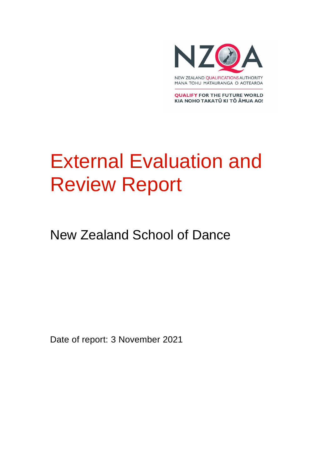

**QUALIFY FOR THE FUTURE WORLD** KIA NOHO TAKATŪ KI TŌ ĀMUA AO!

# External Evaluation and Review Report

New Zealand School of Dance

Date of report: 3 November 2021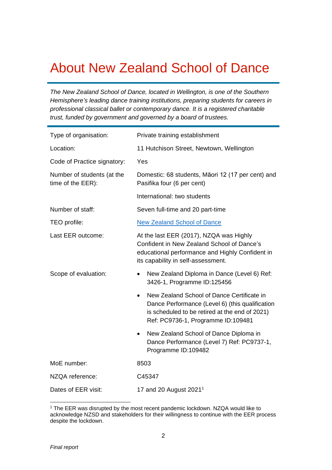### About New Zealand School of Dance

*The New Zealand School of Dance, located in Wellington, is one of the Southern Hemisphere's leading dance training institutions, preparing students for careers in professional classical ballet or contemporary dance. It is a registered charitable trust, funded by government and governed by a board of trustees.* 

| Type of organisation:                           | Private training establishment                                                                                                                                                        |
|-------------------------------------------------|---------------------------------------------------------------------------------------------------------------------------------------------------------------------------------------|
| Location:                                       | 11 Hutchison Street, Newtown, Wellington                                                                                                                                              |
| Code of Practice signatory:                     | Yes                                                                                                                                                                                   |
| Number of students (at the<br>time of the EER): | Domestic: 68 students, Māori 12 (17 per cent) and<br>Pasifika four (6 per cent)                                                                                                       |
|                                                 | International: two students                                                                                                                                                           |
| Number of staff:                                | Seven full-time and 20 part-time                                                                                                                                                      |
| TEO profile:                                    | <b>New Zealand School of Dance</b>                                                                                                                                                    |
| Last EER outcome:                               | At the last EER (2017), NZQA was Highly<br>Confident in New Zealand School of Dance's<br>educational performance and Highly Confident in<br>its capability in self-assessment.        |
| Scope of evaluation:                            | New Zealand Diploma in Dance (Level 6) Ref:<br>3426-1, Programme ID:125456                                                                                                            |
|                                                 | New Zealand School of Dance Certificate in<br>Dance Performance (Level 6) (this qualification<br>is scheduled to be retired at the end of 2021)<br>Ref: PC9736-1, Programme ID:109481 |
|                                                 | New Zealand School of Dance Diploma in<br>Dance Performance (Level 7) Ref: PC9737-1,<br>Programme ID:109482                                                                           |
| MoE number:                                     | 8503                                                                                                                                                                                  |
| NZQA reference:                                 | C45347                                                                                                                                                                                |
| Dates of EER visit:                             | 17 and 20 August $20211$                                                                                                                                                              |

<sup>&</sup>lt;sup>1</sup> The EER was disrupted by the most recent pandemic lockdown. NZQA would like to acknowledge NZSD and stakeholders for their willingness to continue with the EER process despite the lockdown.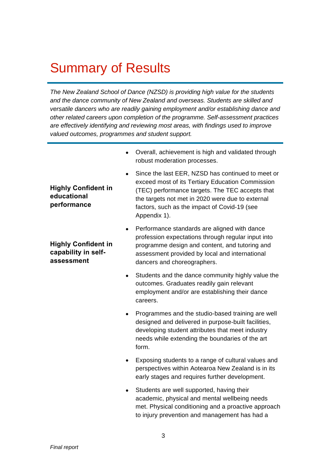### Summary of Results

*The New Zealand School of Dance (NZSD) is providing high value for the students and the dance community of New Zealand and overseas. Students are skilled and versatile dancers who are readily gaining employment and/or establishing dance and other related careers upon completion of the programme. Self-assessment practices are effectively identifying and reviewing most areas, with findings used to improve valued outcomes, programmes and student support.* 

> • Overall, achievement is high and validated through robust moderation processes.

**Highly Confident in educational performance**

**Highly Confident in capability in selfassessment**

- Since the last EER, NZSD has continued to meet or exceed most of its Tertiary Education Commission (TEC) performance targets. The TEC accepts that the targets not met in 2020 were due to external factors, such as the impact of Covid-19 (see Appendix 1).
- Performance standards are aligned with dance profession expectations through regular input into programme design and content, and tutoring and assessment provided by local and international dancers and choreographers.
- Students and the dance community highly value the outcomes. Graduates readily gain relevant employment and/or are establishing their dance careers.
- Programmes and the studio-based training are well designed and delivered in purpose-built facilities, developing student attributes that meet industry needs while extending the boundaries of the art form.
- Exposing students to a range of cultural values and perspectives within Aotearoa New Zealand is in its early stages and requires further development.
- Students are well supported, having their academic, physical and mental wellbeing needs met. Physical conditioning and a proactive approach to injury prevention and management has had a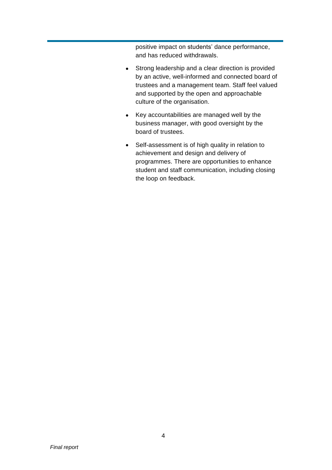positive impact on students' dance performance, and has reduced withdrawals.

- Strong leadership and a clear direction is provided by an active, well-informed and connected board of trustees and a management team. Staff feel valued and supported by the open and approachable culture of the organisation.
- Key accountabilities are managed well by the business manager, with good oversight by the board of trustees.
- Self-assessment is of high quality in relation to achievement and design and delivery of programmes. There are opportunities to enhance student and staff communication, including closing the loop on feedback.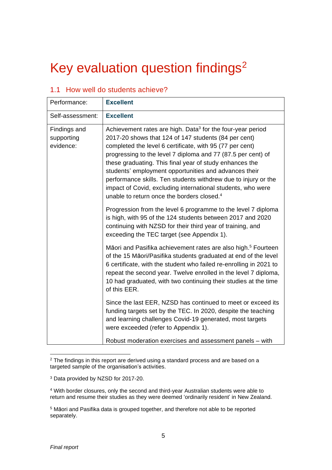## Key evaluation question findings<sup>2</sup>

| <b>Excellent</b><br>Achievement rates are high. Data <sup>3</sup> for the four-year period                                                                                                                                                                                                                                                                                                                                                                                                      |
|-------------------------------------------------------------------------------------------------------------------------------------------------------------------------------------------------------------------------------------------------------------------------------------------------------------------------------------------------------------------------------------------------------------------------------------------------------------------------------------------------|
|                                                                                                                                                                                                                                                                                                                                                                                                                                                                                                 |
| 2017-20 shows that 124 of 147 students (84 per cent)<br>completed the level 6 certificate, with 95 (77 per cent)<br>progressing to the level 7 diploma and 77 (87.5 per cent) of<br>these graduating. This final year of study enhances the<br>students' employment opportunities and advances their<br>performance skills. Ten students withdrew due to injury or the<br>impact of Covid, excluding international students, who were<br>unable to return once the borders closed. <sup>4</sup> |
| Progression from the level 6 programme to the level 7 diploma<br>is high, with 95 of the 124 students between 2017 and 2020<br>continuing with NZSD for their third year of training, and<br>exceeding the TEC target (see Appendix 1).                                                                                                                                                                                                                                                         |
| Māori and Pasifika achievement rates are also high. <sup>5</sup> Fourteen<br>of the 15 Māori/Pasifika students graduated at end of the level<br>6 certificate, with the student who failed re-enrolling in 2021 to<br>repeat the second year. Twelve enrolled in the level 7 diploma,<br>10 had graduated, with two continuing their studies at the time<br>of this EER.                                                                                                                        |
| Since the last EER, NZSD has continued to meet or exceed its<br>funding targets set by the TEC. In 2020, despite the teaching<br>and learning challenges Covid-19 generated, most targets<br>were exceeded (refer to Appendix 1).<br>Robust moderation exercises and assessment panels - with                                                                                                                                                                                                   |
|                                                                                                                                                                                                                                                                                                                                                                                                                                                                                                 |

#### 1.1 How well do students achieve?

<sup>&</sup>lt;sup>2</sup> The findings in this report are derived using a standard process and are based on a targeted sample of the organisation's activities.

<sup>3</sup> Data provided by NZSD for 2017-20.

<sup>4</sup> With border closures, only the second and third-year Australian students were able to return and resume their studies as they were deemed 'ordinarily resident' in New Zealand.

<sup>5</sup> Māori and Pasifika data is grouped together, and therefore not able to be reported separately.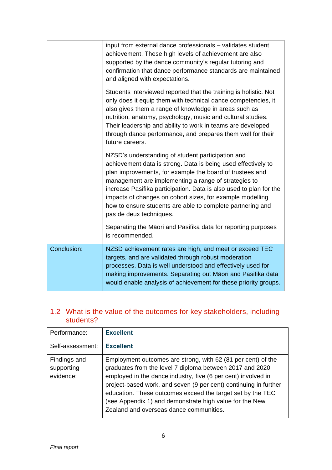|             | input from external dance professionals - validates student<br>achievement. These high levels of achievement are also<br>supported by the dance community's regular tutoring and<br>confirmation that dance performance standards are maintained<br>and aligned with expectations.                                                                                                                                                                                 |
|-------------|--------------------------------------------------------------------------------------------------------------------------------------------------------------------------------------------------------------------------------------------------------------------------------------------------------------------------------------------------------------------------------------------------------------------------------------------------------------------|
|             | Students interviewed reported that the training is holistic. Not<br>only does it equip them with technical dance competencies, it<br>also gives them a range of knowledge in areas such as<br>nutrition, anatomy, psychology, music and cultural studies.<br>Their leadership and ability to work in teams are developed<br>through dance performance, and prepares them well for their<br>future careers.                                                         |
|             | NZSD's understanding of student participation and<br>achievement data is strong. Data is being used effectively to<br>plan improvements, for example the board of trustees and<br>management are implementing a range of strategies to<br>increase Pasifika participation. Data is also used to plan for the<br>impacts of changes on cohort sizes, for example modelling<br>how to ensure students are able to complete partnering and<br>pas de deux techniques. |
|             | Separating the Māori and Pasifika data for reporting purposes<br>is recommended.                                                                                                                                                                                                                                                                                                                                                                                   |
| Conclusion: | NZSD achievement rates are high, and meet or exceed TEC<br>targets, and are validated through robust moderation<br>processes. Data is well understood and effectively used for<br>making improvements. Separating out Māori and Pasifika data<br>would enable analysis of achievement for these priority groups.                                                                                                                                                   |

#### 1.2 What is the value of the outcomes for key stakeholders, including students?

| Performance:                            | <b>Excellent</b>                                                                                                                                                                                                                                                                                                                                                                                                                  |
|-----------------------------------------|-----------------------------------------------------------------------------------------------------------------------------------------------------------------------------------------------------------------------------------------------------------------------------------------------------------------------------------------------------------------------------------------------------------------------------------|
| Self-assessment:                        | <b>Excellent</b>                                                                                                                                                                                                                                                                                                                                                                                                                  |
| Findings and<br>supporting<br>evidence: | Employment outcomes are strong, with 62 (81 per cent) of the<br>graduates from the level 7 diploma between 2017 and 2020<br>employed in the dance industry, five (6 per cent) involved in<br>project-based work, and seven (9 per cent) continuing in further<br>education. These outcomes exceed the target set by the TEC<br>(see Appendix 1) and demonstrate high value for the New<br>Zealand and overseas dance communities. |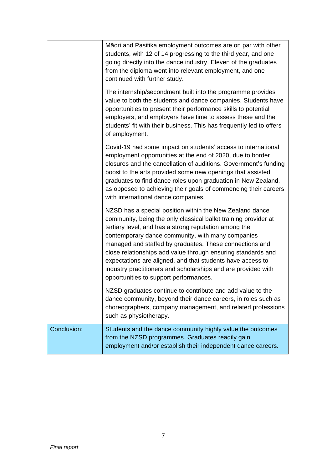| managed and staffed by graduates. These connections and<br>close relationships add value through ensuring standards and<br>expectations are aligned, and that students have access to<br>industry practitioners and scholarships and are provided with<br>opportunities to support performances.<br>NZSD graduates continue to contribute and add value to the<br>dance community, beyond their dance careers, in roles such as<br>choreographers, company management, and related professions<br>such as physiotherapy. |
|--------------------------------------------------------------------------------------------------------------------------------------------------------------------------------------------------------------------------------------------------------------------------------------------------------------------------------------------------------------------------------------------------------------------------------------------------------------------------------------------------------------------------|
| NZSD has a special position within the New Zealand dance<br>community, being the only classical ballet training provider at<br>tertiary level, and has a strong reputation among the<br>contemporary dance community, with many companies                                                                                                                                                                                                                                                                                |
| Covid-19 had some impact on students' access to international<br>employment opportunities at the end of 2020, due to border<br>closures and the cancellation of auditions. Government's funding<br>boost to the arts provided some new openings that assisted<br>graduates to find dance roles upon graduation in New Zealand,<br>as opposed to achieving their goals of commencing their careers<br>with international dance companies.                                                                                 |
| The internship/secondment built into the programme provides<br>value to both the students and dance companies. Students have<br>opportunities to present their performance skills to potential<br>employers, and employers have time to assess these and the<br>students' fit with their business. This has frequently led to offers<br>of employment.                                                                                                                                                                   |
| Māori and Pasifika employment outcomes are on par with other<br>students, with 12 of 14 progressing to the third year, and one<br>going directly into the dance industry. Eleven of the graduates<br>from the diploma went into relevant employment, and one<br>continued with further study.                                                                                                                                                                                                                            |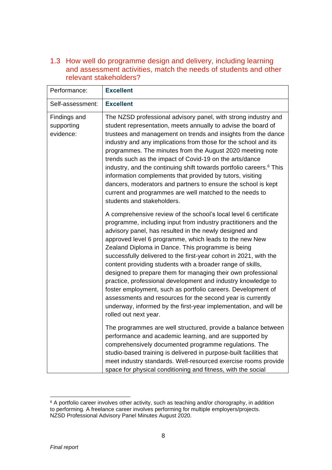1.3 How well do programme design and delivery, including learning and assessment activities, match the needs of students and other relevant stakeholders?

| Performance:                            | <b>Excellent</b>                                                                                                                                                                                                                                                                                                                                                                                                                                                                                                                                                                                                                                                                                                                                                                                          |
|-----------------------------------------|-----------------------------------------------------------------------------------------------------------------------------------------------------------------------------------------------------------------------------------------------------------------------------------------------------------------------------------------------------------------------------------------------------------------------------------------------------------------------------------------------------------------------------------------------------------------------------------------------------------------------------------------------------------------------------------------------------------------------------------------------------------------------------------------------------------|
| Self-assessment:                        | <b>Excellent</b>                                                                                                                                                                                                                                                                                                                                                                                                                                                                                                                                                                                                                                                                                                                                                                                          |
| Findings and<br>supporting<br>evidence: | The NZSD professional advisory panel, with strong industry and<br>student representation, meets annually to advise the board of<br>trustees and management on trends and insights from the dance<br>industry and any implications from those for the school and its<br>programmes. The minutes from the August 2020 meeting note<br>trends such as the impact of Covid-19 on the arts/dance<br>industry, and the continuing shift towards portfolio careers. <sup>6</sup> This<br>information complements that provided by tutors, visiting<br>dancers, moderators and partners to ensure the school is kept<br>current and programmes are well matched to the needs to<br>students and stakeholders.                                                                                                     |
|                                         | A comprehensive review of the school's local level 6 certificate<br>programme, including input from industry practitioners and the<br>advisory panel, has resulted in the newly designed and<br>approved level 6 programme, which leads to the new New<br>Zealand Diploma in Dance. This programme is being<br>successfully delivered to the first-year cohort in 2021, with the<br>content providing students with a broader range of skills,<br>designed to prepare them for managing their own professional<br>practice, professional development and industry knowledge to<br>foster employment, such as portfolio careers. Development of<br>assessments and resources for the second year is currently<br>underway, informed by the first-year implementation, and will be<br>rolled out next year. |
|                                         | The programmes are well structured, provide a balance between<br>performance and academic learning, and are supported by<br>comprehensively documented programme regulations. The<br>studio-based training is delivered in purpose-built facilities that<br>meet industry standards. Well-resourced exercise rooms provide<br>space for physical conditioning and fitness, with the social                                                                                                                                                                                                                                                                                                                                                                                                                |

 $6$  A portfolio career involves other activity, such as teaching and/or chorography, in addition to performing. A freelance career involves performing for multiple employers/projects. NZSD Professional Advisory Panel Minutes August 2020.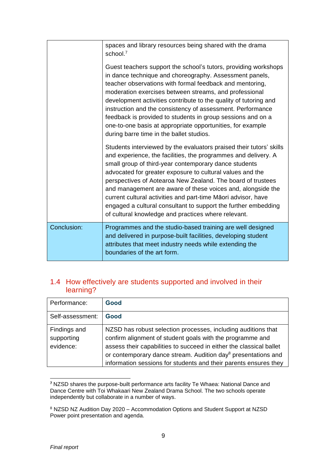|             | spaces and library resources being shared with the drama<br>school. <sup>7</sup>                                                                                                                                                                                                                                                                                                                                                                                                                                                                                                    |
|-------------|-------------------------------------------------------------------------------------------------------------------------------------------------------------------------------------------------------------------------------------------------------------------------------------------------------------------------------------------------------------------------------------------------------------------------------------------------------------------------------------------------------------------------------------------------------------------------------------|
|             | Guest teachers support the school's tutors, providing workshops<br>in dance technique and choreography. Assessment panels,<br>teacher observations with formal feedback and mentoring,<br>moderation exercises between streams, and professional<br>development activities contribute to the quality of tutoring and<br>instruction and the consistency of assessment. Performance<br>feedback is provided to students in group sessions and on a<br>one-to-one basis at appropriate opportunities, for example<br>during barre time in the ballet studios.                         |
|             | Students interviewed by the evaluators praised their tutors' skills<br>and experience, the facilities, the programmes and delivery. A<br>small group of third-year contemporary dance students<br>advocated for greater exposure to cultural values and the<br>perspectives of Aotearoa New Zealand. The board of trustees<br>and management are aware of these voices and, alongside the<br>current cultural activities and part-time Māori advisor, have<br>engaged a cultural consultant to support the further embedding<br>of cultural knowledge and practices where relevant. |
| Conclusion: | Programmes and the studio-based training are well designed<br>and delivered in purpose-built facilities, developing student<br>attributes that meet industry needs while extending the<br>boundaries of the art form.                                                                                                                                                                                                                                                                                                                                                               |

#### 1.4 How effectively are students supported and involved in their learning?

| Performance:                            | Good                                                                                                                                                                                                                                                                                                                                               |
|-----------------------------------------|----------------------------------------------------------------------------------------------------------------------------------------------------------------------------------------------------------------------------------------------------------------------------------------------------------------------------------------------------|
| Self-assessment:                        | Good                                                                                                                                                                                                                                                                                                                                               |
| Findings and<br>supporting<br>evidence: | NZSD has robust selection processes, including auditions that<br>confirm alignment of student goals with the programme and<br>assess their capabilities to succeed in either the classical ballet<br>or contemporary dance stream. Audition day <sup>8</sup> presentations and<br>information sessions for students and their parents ensures they |

**<sup>7</sup>** NZSD shares the purpose-built performance arts facility Te Whaea: National Dance and Dance Centre with Toi Whakaari New Zealand Drama School. The two schools operate independently but collaborate in a number of ways.

<sup>8</sup> NZSD NZ Audition Day 2020 – Accommodation Options and Student Support at NZSD Power point presentation and agenda.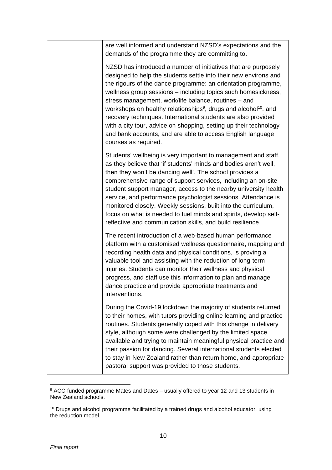| are well informed and understand NZSD's expectations and the<br>demands of the programme they are committing to.                                                                                                                                                                                                                                                                                                                                                                                                                                                                                                                                    |
|-----------------------------------------------------------------------------------------------------------------------------------------------------------------------------------------------------------------------------------------------------------------------------------------------------------------------------------------------------------------------------------------------------------------------------------------------------------------------------------------------------------------------------------------------------------------------------------------------------------------------------------------------------|
| NZSD has introduced a number of initiatives that are purposely<br>designed to help the students settle into their new environs and<br>the rigours of the dance programme: an orientation programme,<br>wellness group sessions - including topics such homesickness,<br>stress management, work/life balance, routines - and<br>workshops on healthy relationships <sup>9</sup> , drugs and alcohol <sup>10</sup> , and<br>recovery techniques. International students are also provided<br>with a city tour, advice on shopping, setting up their technology<br>and bank accounts, and are able to access English language<br>courses as required. |
| Students' wellbeing is very important to management and staff,<br>as they believe that 'if students' minds and bodies aren't well,<br>then they won't be dancing well'. The school provides a<br>comprehensive range of support services, including an on-site<br>student support manager, access to the nearby university health<br>service, and performance psychologist sessions. Attendance is<br>monitored closely. Weekly sessions, built into the curriculum,<br>focus on what is needed to fuel minds and spirits, develop self-<br>reflective and communication skills, and build resilience.                                              |
| The recent introduction of a web-based human performance<br>platform with a customised wellness questionnaire, mapping and<br>recording health data and physical conditions, is proving a<br>valuable tool and assisting with the reduction of long-term<br>injuries. Students can monitor their wellness and physical<br>progress, and staff use this information to plan and manage<br>dance practice and provide appropriate treatments and<br>interventions.                                                                                                                                                                                    |
| During the Covid-19 lockdown the majority of students returned<br>to their homes, with tutors providing online learning and practice<br>routines. Students generally coped with this change in delivery<br>style, although some were challenged by the limited space<br>available and trying to maintain meaningful physical practice and<br>their passion for dancing. Several international students elected<br>to stay in New Zealand rather than return home, and appropriate<br>pastoral support was provided to those students.                                                                                                               |

<sup>9</sup> ACC-funded programme Mates and Dates – usually offered to year 12 and 13 students in New Zealand schools.

<sup>&</sup>lt;sup>10</sup> Drugs and alcohol programme facilitated by a trained drugs and alcohol educator, using the reduction model.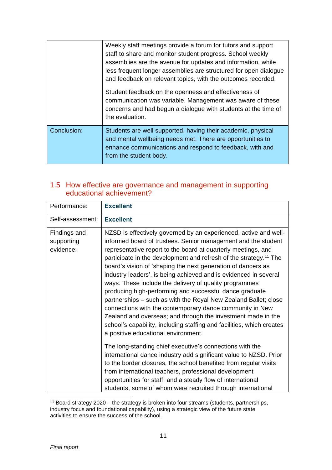|             | Weekly staff meetings provide a forum for tutors and support<br>staff to share and monitor student progress. School weekly<br>assemblies are the avenue for updates and information, while<br>less frequent longer assemblies are structured for open dialogue<br>and feedback on relevant topics, with the outcomes recorded. |
|-------------|--------------------------------------------------------------------------------------------------------------------------------------------------------------------------------------------------------------------------------------------------------------------------------------------------------------------------------|
|             | Student feedback on the openness and effectiveness of<br>communication was variable. Management was aware of these<br>concerns and had begun a dialogue with students at the time of<br>the evaluation.                                                                                                                        |
| Conclusion: | Students are well supported, having their academic, physical<br>and mental wellbeing needs met. There are opportunities to<br>enhance communications and respond to feedback, with and<br>from the student body.                                                                                                               |

#### 1.5 How effective are governance and management in supporting educational achievement?

| Performance:                            | <b>Excellent</b>                                                                                                                                                                                                                                                                                                                                                                                                                                                                                                                                                                                                                                                                                                                                                                                                                                                                                                                                                                                                                                                                                                                                                                         |
|-----------------------------------------|------------------------------------------------------------------------------------------------------------------------------------------------------------------------------------------------------------------------------------------------------------------------------------------------------------------------------------------------------------------------------------------------------------------------------------------------------------------------------------------------------------------------------------------------------------------------------------------------------------------------------------------------------------------------------------------------------------------------------------------------------------------------------------------------------------------------------------------------------------------------------------------------------------------------------------------------------------------------------------------------------------------------------------------------------------------------------------------------------------------------------------------------------------------------------------------|
| Self-assessment:                        | <b>Excellent</b>                                                                                                                                                                                                                                                                                                                                                                                                                                                                                                                                                                                                                                                                                                                                                                                                                                                                                                                                                                                                                                                                                                                                                                         |
| Findings and<br>supporting<br>evidence: | NZSD is effectively governed by an experienced, active and well-<br>informed board of trustees. Senior management and the student<br>representative report to the board at quarterly meetings, and<br>participate in the development and refresh of the strategy. <sup>11</sup> The<br>board's vision of 'shaping the next generation of dancers as<br>industry leaders', is being achieved and is evidenced in several<br>ways. These include the delivery of quality programmes<br>producing high-performing and successful dance graduate<br>partnerships – such as with the Royal New Zealand Ballet; close<br>connections with the contemporary dance community in New<br>Zealand and overseas; and through the investment made in the<br>school's capability, including staffing and facilities, which creates<br>a positive educational environment.<br>The long-standing chief executive's connections with the<br>international dance industry add significant value to NZSD. Prior<br>to the border closures, the school benefited from regular visits<br>from international teachers, professional development<br>opportunities for staff, and a steady flow of international |
|                                         | students, some of whom were recruited through international                                                                                                                                                                                                                                                                                                                                                                                                                                                                                                                                                                                                                                                                                                                                                                                                                                                                                                                                                                                                                                                                                                                              |

<sup>&</sup>lt;sup>11</sup> Board strategy 2020 – the strategy is broken into four streams (students, partnerships, industry focus and foundational capability), using a strategic view of the future state activities to ensure the success of the school.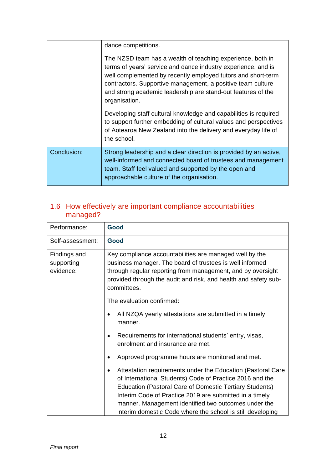|             | dance competitions.                                                                                                                                                                                                                                                                                                                         |
|-------------|---------------------------------------------------------------------------------------------------------------------------------------------------------------------------------------------------------------------------------------------------------------------------------------------------------------------------------------------|
|             | The NZSD team has a wealth of teaching experience, both in<br>terms of years' service and dance industry experience, and is<br>well complemented by recently employed tutors and short-term<br>contractors. Supportive management, a positive team culture<br>and strong academic leadership are stand-out features of the<br>organisation. |
|             | Developing staff cultural knowledge and capabilities is required<br>to support further embedding of cultural values and perspectives<br>of Aotearoa New Zealand into the delivery and everyday life of<br>the school.                                                                                                                       |
| Conclusion: | Strong leadership and a clear direction is provided by an active,<br>well-informed and connected board of trustees and management<br>team. Staff feel valued and supported by the open and<br>approachable culture of the organisation.                                                                                                     |

| Performance:                            | Good                                                                                                                                                                                                                                                                                                                                                                             |  |  |
|-----------------------------------------|----------------------------------------------------------------------------------------------------------------------------------------------------------------------------------------------------------------------------------------------------------------------------------------------------------------------------------------------------------------------------------|--|--|
| Self-assessment:                        | Good                                                                                                                                                                                                                                                                                                                                                                             |  |  |
| Findings and<br>supporting<br>evidence: | Key compliance accountabilities are managed well by the<br>business manager. The board of trustees is well informed<br>through regular reporting from management, and by oversight<br>provided through the audit and risk, and health and safety sub-<br>committees.                                                                                                             |  |  |
|                                         | The evaluation confirmed:                                                                                                                                                                                                                                                                                                                                                        |  |  |
|                                         | All NZQA yearly attestations are submitted in a timely<br>manner.                                                                                                                                                                                                                                                                                                                |  |  |
|                                         | Requirements for international students' entry, visas,<br>enrolment and insurance are met.                                                                                                                                                                                                                                                                                       |  |  |
|                                         | Approved programme hours are monitored and met.                                                                                                                                                                                                                                                                                                                                  |  |  |
|                                         | Attestation requirements under the Education (Pastoral Care<br>$\bullet$<br>of International Students) Code of Practice 2016 and the<br>Education (Pastoral Care of Domestic Tertiary Students)<br>Interim Code of Practice 2019 are submitted in a timely<br>manner. Management identified two outcomes under the<br>interim domestic Code where the school is still developing |  |  |

### 1.6 How effectively are important compliance accountabilities managed?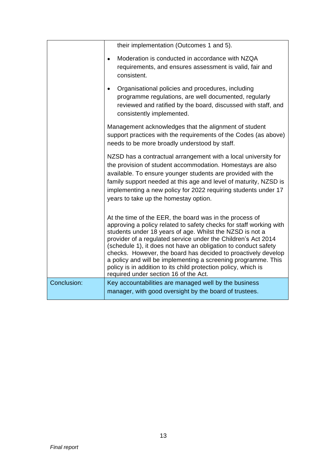|             | their implementation (Outcomes 1 and 5).                                                                                                                                                                                                                                                                                                                                                                                                                                                                                                                                  |
|-------------|---------------------------------------------------------------------------------------------------------------------------------------------------------------------------------------------------------------------------------------------------------------------------------------------------------------------------------------------------------------------------------------------------------------------------------------------------------------------------------------------------------------------------------------------------------------------------|
|             | Moderation is conducted in accordance with NZQA<br>requirements, and ensures assessment is valid, fair and<br>consistent.                                                                                                                                                                                                                                                                                                                                                                                                                                                 |
|             | Organisational policies and procedures, including<br>programme regulations, are well documented, regularly<br>reviewed and ratified by the board, discussed with staff, and<br>consistently implemented.                                                                                                                                                                                                                                                                                                                                                                  |
|             | Management acknowledges that the alignment of student<br>support practices with the requirements of the Codes (as above)<br>needs to be more broadly understood by staff.                                                                                                                                                                                                                                                                                                                                                                                                 |
|             | NZSD has a contractual arrangement with a local university for<br>the provision of student accommodation. Homestays are also<br>available. To ensure younger students are provided with the<br>family support needed at this age and level of maturity, NZSD is<br>implementing a new policy for 2022 requiring students under 17<br>years to take up the homestay option.                                                                                                                                                                                                |
|             | At the time of the EER, the board was in the process of<br>approving a policy related to safety checks for staff working with<br>students under 18 years of age. Whilst the NZSD is not a<br>provider of a regulated service under the Children's Act 2014<br>(schedule 1), it does not have an obligation to conduct safety<br>checks. However, the board has decided to proactively develop<br>a policy and will be implementing a screening programme. This<br>policy is in addition to its child protection policy, which is<br>required under section 16 of the Act. |
| Conclusion: | Key accountabilities are managed well by the business<br>manager, with good oversight by the board of trustees.                                                                                                                                                                                                                                                                                                                                                                                                                                                           |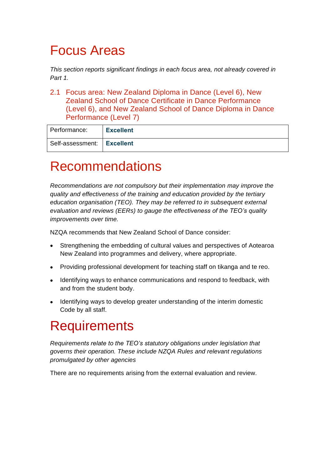### Focus Areas

*This section reports significant findings in each focus area, not already covered in Part 1.* 

2.1 Focus area: New Zealand Diploma in Dance (Level 6), New Zealand School of Dance Certificate in Dance Performance (Level 6), and New Zealand School of Dance Diploma in Dance Performance (Level 7)

| Performance:                 | <b>Excellent</b> |
|------------------------------|------------------|
| Self-assessment:   Excellent |                  |

### Recommendations

*Recommendations are not compulsory but their implementation may improve the quality and effectiveness of the training and education provided by the tertiary education organisation (TEO). They may be referred to in subsequent external evaluation and reviews (EERs) to gauge the effectiveness of the TEO's quality improvements over time.*

NZQA recommends that New Zealand School of Dance consider:

- Strengthening the embedding of cultural values and perspectives of Aotearoa New Zealand into programmes and delivery, where appropriate.
- Providing professional development for teaching staff on tikanga and te reo.
- Identifying ways to enhance communications and respond to feedback, with and from the student body.
- Identifying ways to develop greater understanding of the interim domestic Code by all staff.

### **Requirements**

*Requirements relate to the TEO's statutory obligations under legislation that governs their operation. These include NZQA Rules and relevant regulations promulgated by other agencies*

There are no requirements arising from the external evaluation and review.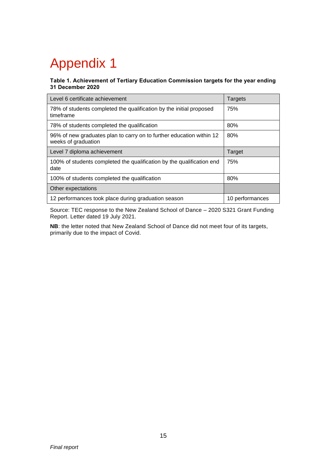# Appendix 1

#### **Table 1. Achievement of Tertiary Education Commission targets for the year ending 31 December 2020**

| Level 6 certificate achievement                                                             | Targets         |
|---------------------------------------------------------------------------------------------|-----------------|
| 78% of students completed the qualification by the initial proposed<br>timeframe            | 75%             |
| 78% of students completed the qualification                                                 | 80%             |
| 96% of new graduates plan to carry on to further education within 12<br>weeks of graduation | 80%             |
| Level 7 diploma achievement                                                                 | Target          |
| 100% of students completed the qualification by the qualification end<br>date               | 75%             |
| 100% of students completed the qualification                                                | 80%             |
| Other expectations                                                                          |                 |
| 12 performances took place during graduation season                                         | 10 performances |

Source: TEC response to the New Zealand School of Dance – 2020 S321 Grant Funding Report. Letter dated 19 July 2021.

**NB**: the letter noted that New Zealand School of Dance did not meet four of its targets, primarily due to the impact of Covid.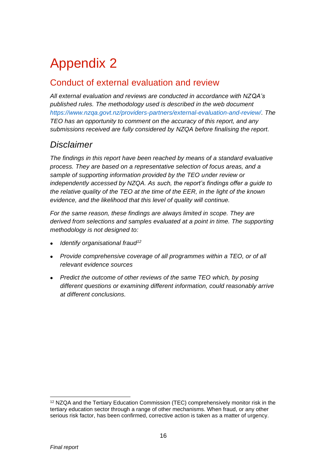# Appendix 2

### Conduct of external evaluation and review

*All external evaluation and reviews are conducted in accordance with NZQA's published rules. The methodology used is described in the web document [https://www.nzqa.govt.nz/providers-partners/external-evaluation-and-review/.](https://www.nzqa.govt.nz/providers-partners/external-evaluation-and-review/) The TEO has an opportunity to comment on the accuracy of this report, and any submissions received are fully considered by NZQA before finalising the report.*

### *Disclaimer*

*The findings in this report have been reached by means of a standard evaluative process. They are based on a representative selection of focus areas, and a sample of supporting information provided by the TEO under review or independently accessed by NZQA. As such, the report's findings offer a guide to the relative quality of the TEO at the time of the EER, in the light of the known evidence, and the likelihood that this level of quality will continue.* 

*For the same reason, these findings are always limited in scope. They are derived from selections and samples evaluated at a point in time. The supporting methodology is not designed to:*

- *Identify organisational fraud<sup>12</sup>*
- *Provide comprehensive coverage of all programmes within a TEO, or of all relevant evidence sources*
- *Predict the outcome of other reviews of the same TEO which, by posing different questions or examining different information, could reasonably arrive at different conclusions.*

<sup>12</sup> NZQA and the Tertiary Education Commission (TEC) comprehensively monitor risk in the tertiary education sector through a range of other mechanisms. When fraud, or any other serious risk factor, has been confirmed, corrective action is taken as a matter of urgency.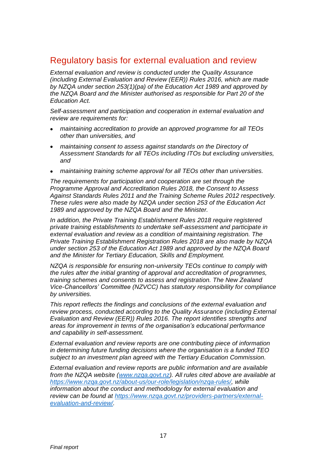### Regulatory basis for external evaluation and review

*External evaluation and review is conducted under the Quality Assurance (including External Evaluation and Review (EER)) Rules 2016, which are made by NZQA under section 253(1)(pa) of the Education Act 1989 and approved by the NZQA Board and the Minister authorised as responsible for Part 20 of the Education Act.*

*Self-assessment and participation and cooperation in external evaluation and review are requirements for:*

- *maintaining accreditation to provide an approved programme for all TEOs other than universities, and*
- *maintaining consent to assess against standards on the Directory of Assessment Standards for all TEOs including ITOs but excluding universities, and*
- *maintaining training scheme approval for all TEOs other than universities.*

*The requirements for participation and cooperation are set through the Programme Approval and Accreditation Rules 2018, the Consent to Assess Against Standards Rules 2011 and the Training Scheme Rules 2012 respectively. These rules were also made by NZQA under section 253 of the Education Act 1989 and approved by the NZQA Board and the Minister.*

*In addition, the Private Training Establishment Rules 2018 require registered private training establishments to undertake self-assessment and participate in external evaluation and review as a condition of maintaining registration. The Private Training Establishment Registration Rules 2018 are also made by NZQA under section 253 of the Education Act 1989 and approved by the NZQA Board and the Minister for Tertiary Education, Skills and Employment.* 

*NZQA is responsible for ensuring non-university TEOs continue to comply with the rules after the initial granting of approval and accreditation of programmes, training schemes and consents to assess and registration. The New Zealand Vice-Chancellors' Committee (NZVCC) has statutory responsibility for compliance by universities.* 

*This report reflects the findings and conclusions of the external evaluation and review process, conducted according to the Quality Assurance (including External Evaluation and Review (EER)) Rules 2016. The report identifies strengths and areas for improvement in terms of the organisation's educational performance and capability in self-assessment.*

*External evaluation and review reports are one contributing piece of information in determining future funding decisions where the organisation is a funded TEO subject to an investment plan agreed with the Tertiary Education Commission.* 

*External evaluation and review reports are public information and are available from the NZQA website [\(www.nzqa.govt.nz\)](http://www.nzqa.govt.nz/). All rules cited above are available at [https://www.nzqa.govt.nz/about-us/our-role/legislation/nzqa-rules/,](https://www.nzqa.govt.nz/about-us/our-role/legislation/nzqa-rules/) while information about the conduct and methodology for external evaluation and review can be found at [https://www.nzqa.govt.nz/providers-partners/external](https://www.nzqa.govt.nz/providers-partners/external-evaluation-and-review/)[evaluation-and-review/.](https://www.nzqa.govt.nz/providers-partners/external-evaluation-and-review/)*